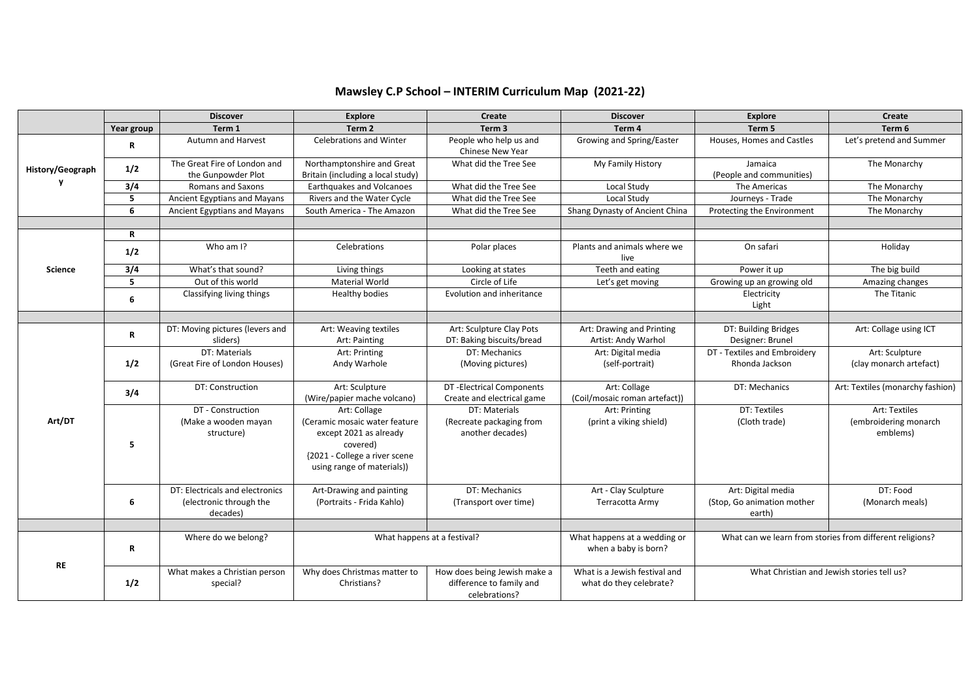|                  |            | <b>Discover</b>                                                        | <b>Explore</b>                                                                                                                                     | Create                                                                    | <b>Discover</b>                                          | <b>Explore</b>                                             | Create                                             |
|------------------|------------|------------------------------------------------------------------------|----------------------------------------------------------------------------------------------------------------------------------------------------|---------------------------------------------------------------------------|----------------------------------------------------------|------------------------------------------------------------|----------------------------------------------------|
|                  | Year group | Term 1                                                                 | Term <sub>2</sub>                                                                                                                                  | Term <sub>3</sub>                                                         | Term 4                                                   | Term 5                                                     | Term 6                                             |
| History/Geograph | R          | <b>Autumn and Harvest</b>                                              | <b>Celebrations and Winter</b>                                                                                                                     | People who help us and<br>Chinese New Year                                | Growing and Spring/Easter                                | Houses, Homes and Castles                                  | Let's pretend and Summer                           |
|                  | 1/2        | The Great Fire of London and<br>the Gunpowder Plot                     | Northamptonshire and Great<br>Britain (including a local study)                                                                                    | What did the Tree See                                                     | My Family History                                        | Jamaica<br>(People and communities)                        | The Monarchy                                       |
|                  | 3/4        | <b>Romans and Saxons</b>                                               | Earthquakes and Volcanoes                                                                                                                          | What did the Tree See                                                     | Local Study                                              | The Americas                                               | The Monarchy                                       |
|                  | 5          | Ancient Egyptians and Mayans                                           | Rivers and the Water Cycle                                                                                                                         | What did the Tree See                                                     | <b>Local Study</b>                                       | Journeys - Trade                                           | The Monarchy                                       |
|                  | 6          | Ancient Egyptians and Mayans                                           | South America - The Amazon                                                                                                                         | What did the Tree See                                                     | Shang Dynasty of Ancient China                           | Protecting the Environment                                 | The Monarchy                                       |
|                  |            |                                                                        |                                                                                                                                                    |                                                                           |                                                          |                                                            |                                                    |
|                  | R          |                                                                        |                                                                                                                                                    |                                                                           |                                                          |                                                            |                                                    |
|                  | 1/2        | Who am I?                                                              | Celebrations                                                                                                                                       | Polar places                                                              | Plants and animals where we<br>live                      | On safari                                                  | Holiday                                            |
| <b>Science</b>   | 3/4        | What's that sound?                                                     | Living things                                                                                                                                      | Looking at states                                                         | Teeth and eating                                         | Power it up                                                | The big build                                      |
|                  | 5          | Out of this world                                                      | <b>Material World</b>                                                                                                                              | Circle of Life                                                            | Let's get moving                                         | Growing up an growing old                                  | Amazing changes                                    |
|                  | 6          | Classifying living things                                              | Healthy bodies                                                                                                                                     | Evolution and inheritance                                                 |                                                          | Electricity<br>Light                                       | The Titanic                                        |
|                  |            |                                                                        |                                                                                                                                                    |                                                                           |                                                          |                                                            |                                                    |
|                  | R          | DT: Moving pictures (levers and<br>sliders)                            | Art: Weaving textiles<br>Art: Painting                                                                                                             | Art: Sculpture Clay Pots<br>DT: Baking biscuits/bread                     | Art: Drawing and Printing<br>Artist: Andy Warhol         | DT: Building Bridges<br>Designer: Brunel                   | Art: Collage using ICT                             |
|                  | 1/2        | DT: Materials<br>(Great Fire of London Houses)                         | Art: Printing<br>Andy Warhole                                                                                                                      | DT: Mechanics<br>(Moving pictures)                                        | Art: Digital media<br>(self-portrait)                    | DT - Textiles and Embroidery<br>Rhonda Jackson             | Art: Sculpture<br>(clay monarch artefact)          |
|                  | 3/4        | DT: Construction                                                       | Art: Sculpture<br>(Wire/papier mache volcano)                                                                                                      | DT - Electrical Components<br>Create and electrical game                  | Art: Collage<br>(Coil/mosaic roman artefact))            | DT: Mechanics                                              | Art: Textiles (monarchy fashion)                   |
| Art/DT           | 5          | DT - Construction<br>(Make a wooden mayan<br>structure)                | Art: Collage<br>(Ceramic mosaic water feature<br>except 2021 as already<br>covered)<br>{2021 - College a river scene<br>using range of materials)) | DT: Materials<br>(Recreate packaging from<br>another decades)             | Art: Printing<br>(print a viking shield)                 | DT: Textiles<br>(Cloth trade)                              | Art: Textiles<br>(embroidering monarch<br>emblems) |
|                  | 6          | DT: Electricals and electronics<br>(electronic through the<br>decades) | Art-Drawing and painting<br>(Portraits - Frida Kahlo)                                                                                              | DT: Mechanics<br>(Transport over time)                                    | Art - Clay Sculpture<br>Terracotta Army                  | Art: Digital media<br>(Stop, Go animation mother<br>earth) | DT: Food<br>(Monarch meals)                        |
|                  |            |                                                                        |                                                                                                                                                    |                                                                           |                                                          |                                                            |                                                    |
| <b>RE</b>        | R          | Where do we belong?                                                    | What happens at a festival?                                                                                                                        |                                                                           | What happens at a wedding or<br>when a baby is born?     | What can we learn from stories from different religions?   |                                                    |
|                  | 1/2        | What makes a Christian person<br>special?                              | Why does Christmas matter to<br>Christians?                                                                                                        | How does being Jewish make a<br>difference to family and<br>celebrations? | What is a Jewish festival and<br>what do they celebrate? | What Christian and Jewish stories tell us?                 |                                                    |

## **Mawsley C.P School – INTERIM Curriculum Map (2021-22)**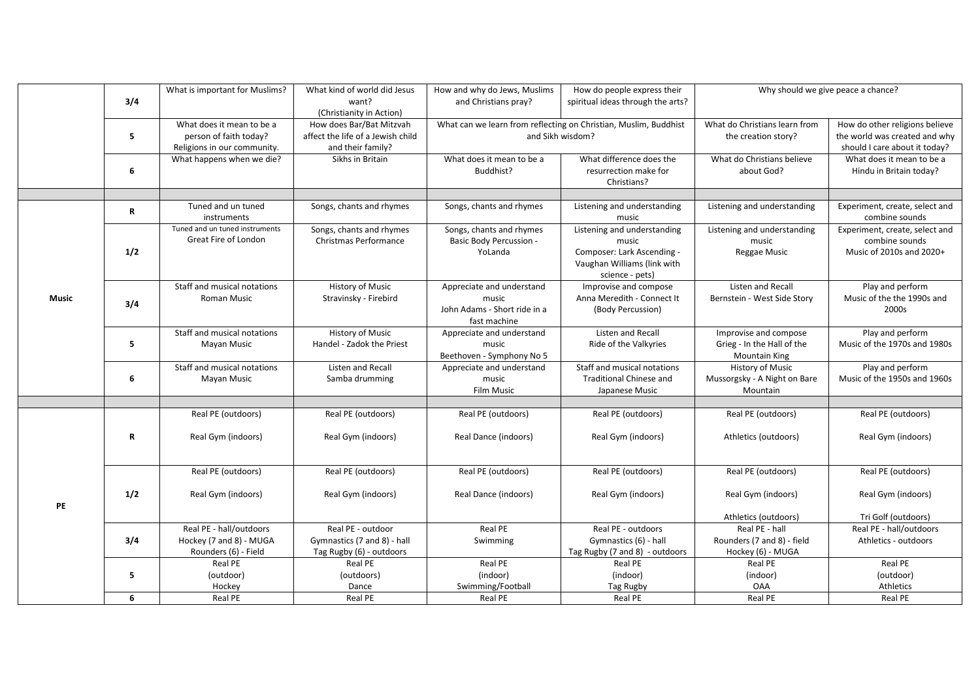|              |             | What is important for Muslims?    | What kind of world did Jesus      | How and why do Jews, Muslims   | How do people express their                                      | Why should we give peace a chance? |                                                  |
|--------------|-------------|-----------------------------------|-----------------------------------|--------------------------------|------------------------------------------------------------------|------------------------------------|--------------------------------------------------|
|              | 3/4         |                                   | want?                             | and Christians pray?           | spiritual ideas through the arts?                                |                                    |                                                  |
|              |             |                                   | (Christianity in Action)          |                                |                                                                  |                                    |                                                  |
|              |             | What does it mean to be a         | How does Bar/Bat Mitzvah          |                                | What can we learn from reflecting on Christian, Muslim, Buddhist | What do Christians learn from      | How do other religions believe                   |
|              | 5           | person of faith today?            | affect the life of a Jewish child |                                | and Sikh wisdom?                                                 | the creation story?                | the world was created and why                    |
|              |             | Religions in our community.       | and their family?                 |                                |                                                                  |                                    | should I care about it today?                    |
|              |             | What happens when we die?         | Sikhs in Britain                  | What does it mean to be a      | What difference does the                                         | What do Christians believe         | What does it mean to be a                        |
|              | 6           |                                   |                                   | Buddhist?                      | resurrection make for                                            | about God?                         | Hindu in Britain today?                          |
|              |             |                                   |                                   |                                | Christians?                                                      |                                    |                                                  |
|              |             |                                   |                                   |                                |                                                                  |                                    |                                                  |
|              | $\mathbf R$ | Tuned and un tuned<br>instruments | Songs, chants and rhymes          | Songs, chants and rhymes       | Listening and understanding<br>music                             | Listening and understanding        | Experiment, create, select and<br>combine sounds |
|              |             | Tuned and un tuned instruments    | Songs, chants and rhymes          | Songs, chants and rhymes       | Listening and understanding                                      | Listening and understanding        | Experiment, create, select and                   |
|              |             | Great Fire of London              | Christmas Performance             | <b>Basic Body Percussion -</b> | music                                                            | music                              | combine sounds                                   |
|              | 1/2         |                                   |                                   | YoLanda                        | Composer: Lark Ascending -                                       | Reggae Music                       | Music of 2010s and 2020+                         |
|              |             |                                   |                                   |                                | Vaughan Williams (link with                                      |                                    |                                                  |
|              |             |                                   |                                   |                                | science - pets)                                                  |                                    |                                                  |
|              |             | Staff and musical notations       | History of Music                  | Appreciate and understand      | Improvise and compose                                            | Listen and Recall                  | Play and perform                                 |
| <b>Music</b> | 3/4         | <b>Roman Music</b>                | Stravinsky - Firebird             | music                          | Anna Meredith - Connect It                                       | Bernstein - West Side Story        | Music of the the 1990s and                       |
|              |             |                                   |                                   | John Adams - Short ride in a   | (Body Percussion)                                                |                                    | 2000s                                            |
|              |             |                                   |                                   | fast machine                   |                                                                  |                                    |                                                  |
|              | 5           | Staff and musical notations       | History of Music                  | Appreciate and understand      | Listen and Recall                                                | Improvise and compose              | Play and perform                                 |
|              |             | Mayan Music                       | Handel - Zadok the Priest         | music                          | Ride of the Valkyries                                            | Grieg - In the Hall of the         | Music of the 1970s and 1980s                     |
|              |             |                                   |                                   | Beethoven - Symphony No 5      |                                                                  | <b>Mountain King</b>               |                                                  |
|              | 6           | Staff and musical notations       | Listen and Recall                 | Appreciate and understand      | Staff and musical notations                                      | <b>History of Music</b>            | Play and perform                                 |
|              |             | Mayan Music                       | Samba drumming                    | music                          | Traditional Chinese and                                          | Mussorgsky - A Night on Bare       | Music of the 1950s and 1960s                     |
|              |             |                                   |                                   | <b>Film Music</b>              | Japanese Music                                                   | Mountain                           |                                                  |
|              |             | Real PE (outdoors)                | Real PE (outdoors)                | Real PE (outdoors)             | Real PE (outdoors)                                               | Real PE (outdoors)                 | Real PE (outdoors)                               |
|              | ${\bf R}$   |                                   |                                   |                                |                                                                  |                                    |                                                  |
|              |             | Real Gym (indoors)                | Real Gym (indoors)                | Real Dance (indoors)           | Real Gym (indoors)                                               | Athletics (outdoors)               | Real Gym (indoors)                               |
|              |             |                                   |                                   |                                |                                                                  |                                    |                                                  |
|              |             |                                   |                                   |                                |                                                                  |                                    |                                                  |
|              |             | Real PE (outdoors)                | Real PE (outdoors)                | Real PE (outdoors)             | Real PE (outdoors)                                               | Real PE (outdoors)                 | Real PE (outdoors)                               |
|              |             |                                   |                                   |                                |                                                                  |                                    |                                                  |
| PE           | 1/2         | Real Gym (indoors)                | Real Gym (indoors)                | Real Dance (indoors)           | Real Gym (indoors)                                               | Real Gym (indoors)                 | Real Gym (indoors)                               |
|              |             |                                   |                                   |                                |                                                                  |                                    |                                                  |
|              |             |                                   |                                   |                                |                                                                  | Athletics (outdoors)               | Tri Golf (outdoors)                              |
|              | 3/4         | Real PE - hall/outdoors           | Real PE - outdoor                 | Real PE                        | Real PE - outdoors                                               | Real PE - hall                     | Real PE - hall/outdoors                          |
|              |             | Hockey (7 and 8) - MUGA           | Gymnastics (7 and 8) - hall       | Swimming                       | Gymnastics (6) - hall                                            | Rounders (7 and 8) - field         | Athletics - outdoors                             |
|              |             | Rounders (6) - Field              | Tag Rugby (6) - outdoors          |                                | Tag Rugby (7 and 8) - outdoors                                   | Hockey (6) - MUGA                  |                                                  |
|              | 5           | Real PE                           | Real PE                           | Real PE                        | Real PE                                                          | Real PE                            | Real PE                                          |
|              |             | (outdoor)                         | (outdoors)                        | (indoor)                       | (indoor)                                                         | (indoor)                           | (outdoor)                                        |
|              |             | Hockey                            | Dance                             | Swimming/Football              | Tag Rugby                                                        | OAA                                | Athletics                                        |
|              | 6           | Real PE                           | Real PE                           | Real PE                        | Real PE                                                          | Real PE                            | Real PE                                          |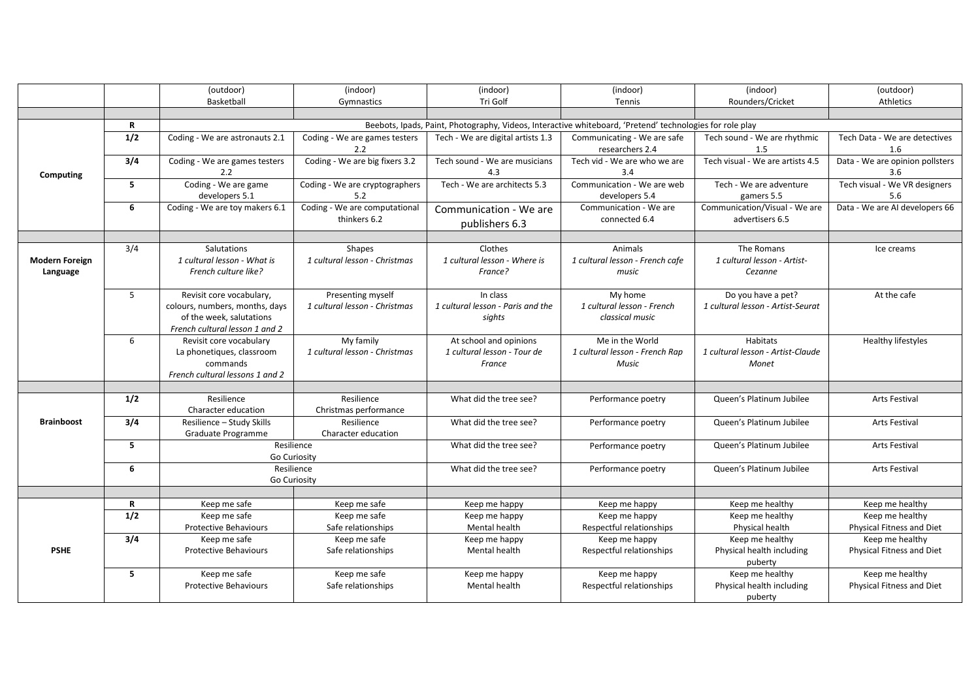|                                   |                  | (outdoor)                                                                                                                | (indoor)                                           | (indoor)                                                        | (indoor)                                                   | (indoor)                                                      | (outdoor)                                    |  |  |
|-----------------------------------|------------------|--------------------------------------------------------------------------------------------------------------------------|----------------------------------------------------|-----------------------------------------------------------------|------------------------------------------------------------|---------------------------------------------------------------|----------------------------------------------|--|--|
|                                   |                  | Basketball                                                                                                               | Gymnastics                                         | Tri Golf                                                        | Tennis                                                     | Rounders/Cricket                                              | Athletics                                    |  |  |
|                                   |                  |                                                                                                                          |                                                    |                                                                 |                                                            |                                                               |                                              |  |  |
|                                   | R                | Beebots, Ipads, Paint, Photography, Videos, Interactive whiteboard, 'Pretend' technologies for role play                 |                                                    |                                                                 |                                                            |                                                               |                                              |  |  |
| Computing                         | 1/2              | Coding - We are astronauts 2.1                                                                                           | Coding - We are games testers<br>2.2               | Tech - We are digital artists 1.3                               | Communicating - We are safe<br>researchers 2.4             | Tech sound - We are rhythmic<br>1.5                           | Tech Data - We are detectives<br>1.6         |  |  |
|                                   | 3/4              | Coding - We are games testers<br>2.2                                                                                     | Coding - We are big fixers 3.2                     | Tech sound - We are musicians<br>4.3                            | Tech vid - We are who we are<br>3.4                        | Tech visual - We are artists 4.5                              | Data - We are opinion pollsters<br>3.6       |  |  |
|                                   | 5                | Coding - We are game<br>developers 5.1                                                                                   | Coding - We are cryptographers<br>5.2              | Tech - We are architects 5.3                                    | Communication - We are web<br>developers 5.4               | Tech - We are adventure<br>gamers 5.5                         | Tech visual - We VR designers<br>5.6         |  |  |
|                                   | 6                | Coding - We are toy makers 6.1                                                                                           | Coding - We are computational<br>thinkers 6.2      | Communication - We are<br>publishers 6.3                        | Communication - We are<br>connected 6.4                    | Communication/Visual - We are<br>advertisers 6.5              | Data - We are AI developers 66               |  |  |
|                                   |                  |                                                                                                                          |                                                    |                                                                 |                                                            |                                                               |                                              |  |  |
| <b>Modern Foreign</b><br>Language | 3/4              | Salutations<br>1 cultural lesson - What is<br>French culture like?                                                       | Shapes<br>1 cultural lesson - Christmas            | Clothes<br>1 cultural lesson - Where is<br>France?              | Animals<br>1 cultural lesson - French cafe<br>music        | The Romans<br>1 cultural lesson - Artist-<br>Cezanne          | Ice creams                                   |  |  |
|                                   | 5 <sup>1</sup>   | Revisit core vocabulary,<br>colours, numbers, months, days<br>of the week, salutations<br>French cultural lesson 1 and 2 | Presenting myself<br>1 cultural lesson - Christmas | In class<br>1 cultural lesson - Paris and the<br>sights         | My home<br>1 cultural lesson - French<br>classical music   | Do you have a pet?<br>1 cultural lesson - Artist-Seurat       | At the cafe                                  |  |  |
|                                   | 6                | Revisit core vocabulary<br>La phonetiques, classroom<br>commands<br>French cultural lessons 1 and 2                      | My family<br>1 cultural lesson - Christmas         | At school and opinions<br>1 cultural lesson - Tour de<br>France | Me in the World<br>1 cultural lesson - French Rap<br>Music | Habitats<br>1 cultural lesson - Artist-Claude<br><b>Monet</b> | Healthy lifestyles                           |  |  |
|                                   |                  |                                                                                                                          |                                                    |                                                                 |                                                            |                                                               |                                              |  |  |
|                                   | 1/2              | Resilience<br>Character education                                                                                        | Resilience<br>Christmas performance                | What did the tree see?                                          | Performance poetry                                         | Queen's Platinum Jubilee                                      | <b>Arts Festival</b>                         |  |  |
| <b>Brainboost</b>                 | 3/4              | Resilience - Study Skills<br>Graduate Programme                                                                          | Resilience<br>Character education                  | What did the tree see?                                          | Performance poetry                                         | Queen's Platinum Jubilee                                      | Arts Festival                                |  |  |
|                                   | 5                | Resilience<br>Go Curiosity                                                                                               |                                                    | What did the tree see?                                          | Performance poetry                                         | Queen's Platinum Jubilee                                      | <b>Arts Festival</b>                         |  |  |
|                                   | 6                | Resilience<br>Go Curiosity                                                                                               |                                                    | What did the tree see?                                          | Performance poetry                                         | Queen's Platinum Jubilee                                      | <b>Arts Festival</b>                         |  |  |
|                                   |                  |                                                                                                                          |                                                    |                                                                 |                                                            |                                                               |                                              |  |  |
|                                   | R                | Keep me safe                                                                                                             | Keep me safe                                       | Keep me happy                                                   | Keep me happy                                              | Keep me healthy                                               | Keep me healthy                              |  |  |
|                                   | 1/2              | Keep me safe                                                                                                             | Keep me safe                                       | Keep me happy                                                   | Keep me happy                                              | Keep me healthy                                               | Keep me healthy                              |  |  |
|                                   |                  | <b>Protective Behaviours</b>                                                                                             | Safe relationships                                 | Mental health                                                   | Respectful relationships                                   | Physical health                                               | Physical Fitness and Diet                    |  |  |
| <b>PSHE</b>                       | $\overline{3/4}$ | Keep me safe<br><b>Protective Behaviours</b>                                                                             | Keep me safe<br>Safe relationships                 | Keep me happy<br>Mental health                                  | Keep me happy<br>Respectful relationships                  | Keep me healthy<br>Physical health including<br>puberty       | Keep me healthy<br>Physical Fitness and Diet |  |  |
|                                   | 5                | Keep me safe<br><b>Protective Behaviours</b>                                                                             | Keep me safe<br>Safe relationships                 | Keep me happy<br>Mental health                                  | Keep me happy<br>Respectful relationships                  | Keep me healthy<br>Physical health including<br>puberty       | Keep me healthy<br>Physical Fitness and Diet |  |  |